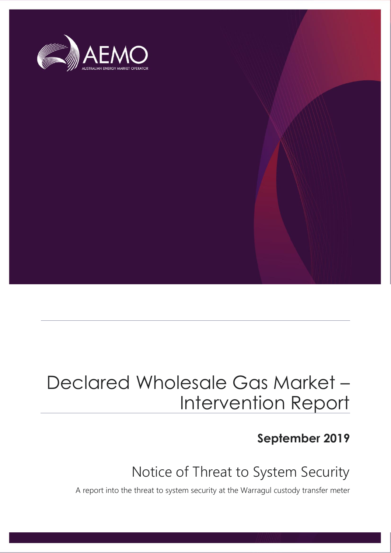

# Declared Wholesale Gas Market – Intervention Report

#### **September 2019**

#### Notice of Threat to System Security

A report into the threat to system security at the Warragul custody transfer meter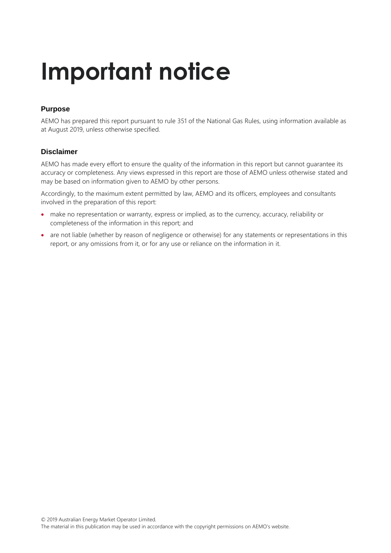# **Important notice**

#### **Purpose**

AEMO has prepared this report pursuant to rule 351 of the National Gas Rules, using information available as at August 2019, unless otherwise specified.

#### **Disclaimer**

AEMO has made every effort to ensure the quality of the information in this report but cannot guarantee its accuracy or completeness. Any views expressed in this report are those of AEMO unless otherwise stated and may be based on information given to AEMO by other persons.

Accordingly, to the maximum extent permitted by law, AEMO and its officers, employees and consultants involved in the preparation of this report:

- make no representation or warranty, express or implied, as to the currency, accuracy, reliability or completeness of the information in this report; and
- are not liable (whether by reason of negligence or otherwise) for any statements or representations in this report, or any omissions from it, or for any use or reliance on the information in it.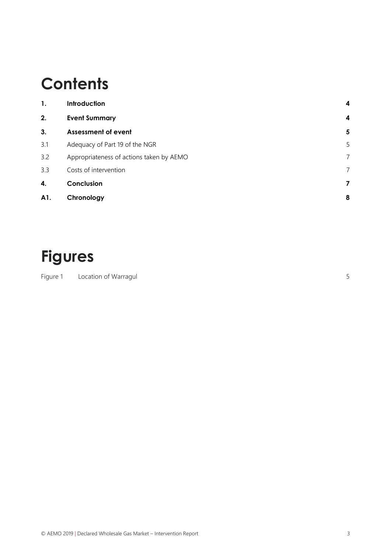## **Contents**

| 1.  | <b>Introduction</b>                      | 4                |
|-----|------------------------------------------|------------------|
| 2.  | <b>Event Summary</b>                     | $\boldsymbol{4}$ |
| 3.  | <b>Assessment of event</b>               | 5                |
| 3.1 | Adequacy of Part 19 of the NGR           | 5                |
| 3.2 | Appropriateness of actions taken by AEMO | 7                |
| 3.3 | Costs of intervention                    | 7                |
| 4.  | Conclusion                               | 7                |
| A1. | Chronology                               | 8                |

## **Figures**

Figure 1 [Location of Warragul](#page-4-2) 5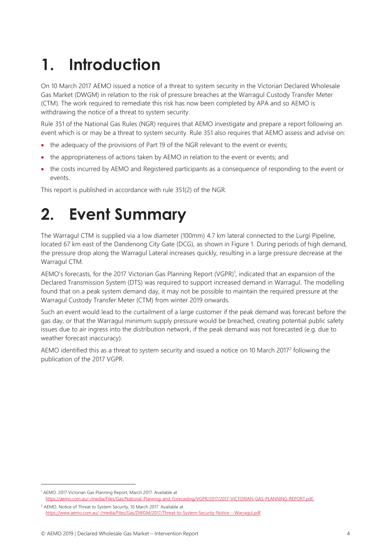# <span id="page-3-0"></span>**1. Introduction**

On 10 March 2017 AEMO issued a notice of a threat to system security in the Victorian Declared Wholesale Gas Market (DWGM) in relation to the risk of pressure breaches at the Warragul Custody Transfer Meter (CTM). The work required to remediate this risk has now been completed by APA and so AEMO is withdrawing the notice of a threat to system security.

Rule 351 of the National Gas Rules (NGR) requires that AEMO investigate and prepare a report following an event which is or may be a threat to system security. Rule 351 also requires that AEMO assess and advise on:

- the adequacy of the provisions of Part 19 of the NGR relevant to the event or events;
- the appropriateness of actions taken by AEMO in relation to the event or events; and
- the costs incurred by AEMO and Registered participants as a consequence of responding to the event or events.

<span id="page-3-1"></span>This report is published in accordance with rule 351(2) of the NGR.

### **2. Event Summary**

The Warragul CTM is supplied via a low diameter (100mm) 4.7 km lateral connected to the Lurgi Pipeline, located 67 km east of the Dandenong City Gate (DCG), as shown in Figure 1. During periods of high demand, the pressure drop along the Warragul Lateral increases quickly, resulting in a large pressure decrease at the Warragul CTM.

AEMO's forecasts, for the 2017 Victorian Gas Planning Report (VGPR)<sup>1</sup>, indicated that an expansion of the Declared Transmission System (DTS) was required to support increased demand in Warragul. The modelling found that on a peak system demand day, it may not be possible to maintain the required pressure at the Warragul Custody Transfer Meter (CTM) from winter 2019 onwards.

Such an event would lead to the curtailment of a large customer if the peak demand was forecast before the gas day, or that the Warragul minimum supply pressure would be breached, creating potential public safety issues due to air ingress into the distribution network, if the peak demand was not forecasted (e.g. due to weather forecast inaccuracy).

AEMO identified this as a threat to system security and issued a notice on 10 March 2017<sup>2</sup> following the publication of the 2017 VGPR.

 $\overline{a}$ 

<sup>1</sup> AEMO. 2017 Victorian Gas Planning Report, March 2017. Available at [https://aemo.com.au/-/media/Files/Gas/National\\_Planning\\_and\\_Forecasting/VGPR/2017/2017-VICTORIAN-GAS-PLANNING-REPORT.pdf.](https://aemo.com.au/-/media/Files/Gas/National_Planning_and_Forecasting/VGPR/2017/2017-VICTORIAN-GAS-PLANNING-REPORT.pdf)

<sup>2</sup> AEMO. Notice of Threat to System Security, 10 March 2017. Available at [https://www.aemo.com.au/-/media/Files/Gas/DWGM/2017/Threat-to-System-Security-Notice---Warragul.pdf.](https://www.aemo.com.au/-/media/Files/Gas/DWGM/2017/Threat-to-System-Security-Notice---Warragul.pdf)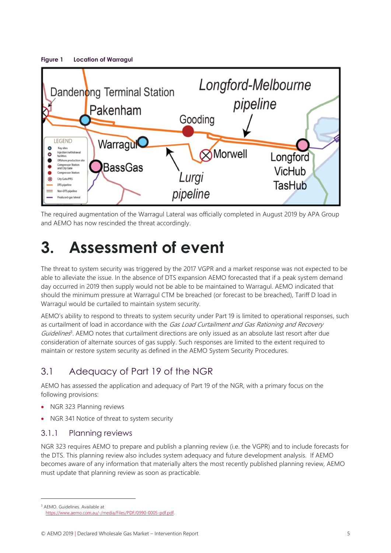<span id="page-4-2"></span>

The required augmentation of the Warragul Lateral was officially completed in August 2019 by APA Group and AEMO has now rescinded the threat accordingly.

### <span id="page-4-0"></span>**3. Assessment of event**

The threat to system security was triggered by the 2017 VGPR and a market response was not expected to be able to alleviate the issue. In the absence of DTS expansion AEMO forecasted that if a peak system demand day occurred in 2019 then supply would not be able to be maintained to Warragul. AEMO indicated that should the minimum pressure at Warragul CTM be breached (or forecast to be breached), Tariff D load in Warragul would be curtailed to maintain system security.

AEMO's ability to respond to threats to system security under Part 19 is limited to operational responses, such as curtailment of load in accordance with the Gas Load Curtailment and Gas Rationing and Recovery Guidelines<sup>3</sup>. AEMO notes that curtailment directions are only issued as an absolute last resort after due consideration of alternate sources of gas supply. Such responses are limited to the extent required to maintain or restore system security as defined in the AEMO System Security Procedures.

#### <span id="page-4-1"></span>3.1 Adequacy of Part 19 of the NGR

AEMO has assessed the application and adequacy of Part 19 of the NGR, with a primary focus on the following provisions:

- NGR 323 Planning reviews
- NGR 341 Notice of threat to system security

#### 3.1.1 Planning reviews

 $\overline{a}$ 

NGR 323 requires AEMO to prepare and publish a planning review (i.e. the VGPR) and to include forecasts for the DTS. This planning review also includes system adequacy and future development analysis. If AEMO becomes aware of any information that materially alters the most recently published planning review, AEMO must update that planning review as soon as practicable.

<sup>3</sup> AEMO. Guidelines. Available at [https://www.aemo.com.au/-/media/Files/PDF/0990-0005-pdf.pdf.](https://www.aemo.com.au/-/media/Files/PDF/0990-0005-pdf.pdf)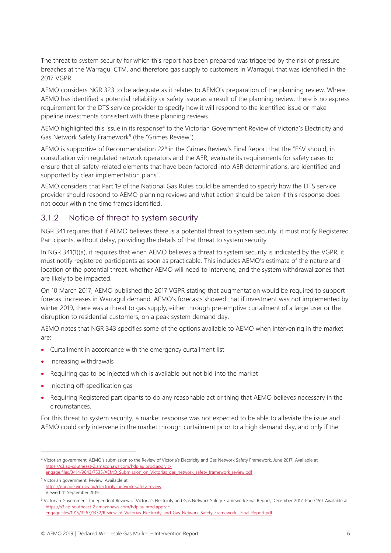The threat to system security for which this report has been prepared was triggered by the risk of pressure breaches at the Warragul CTM, and therefore gas supply to customers in Warragul, that was identified in the 2017 VGPR.

AEMO considers NGR 323 to be adequate as it relates to AEMO's preparation of the planning review. Where AEMO has identified a potential reliability or safety issue as a result of the planning review, there is no express requirement for the DTS service provider to specify how it will respond to the identified issue or make pipeline investments consistent with these planning reviews.

AEMO highlighted this issue in its response<sup>4</sup> to the Victorian Government Review of Victoria's Electricity and Gas Network Safety Framework<sup>5</sup> (the "Grimes Review").

AEMO is supportive of Recommendation 22<sup>6</sup> in the Grimes Review's Final Report that the "ESV should, in consultation with regulated network operators and the AER, evaluate its requirements for safety cases to ensure that all safety-related elements that have been factored into AER determinations, are identified and supported by clear implementation plans".

AEMO considers that Part 19 of the National Gas Rules could be amended to specify how the DTS service provider should respond to AEMO planning reviews and what action should be taken if this response does not occur within the time frames identified.

#### 3.1.2 Notice of threat to system security

NGR 341 requires that if AEMO believes there is a potential threat to system security, it must notify Registered Participants, without delay, providing the details of that threat to system security.

In NGR 341(1)(a), it requires that when AEMO believes a threat to system security is indicated by the VGPR, it must notify registered participants as soon as practicable. This includes AEMO's estimate of the nature and location of the potential threat, whether AEMO will need to intervene, and the system withdrawal zones that are likely to be impacted.

On 10 March 2017, AEMO published the 2017 VGPR stating that augmentation would be required to support forecast increases in Warragul demand. AEMO's forecasts showed that if investment was not implemented by winter 2019, there was a threat to gas supply, either through pre-emptive curtailment of a large user or the disruption to residential customers, on a peak system demand day.

AEMO notes that NGR 343 specifies some of the options available to AEMO when intervening in the market are:

- Curtailment in accordance with the emergency curtailment list
- Increasing withdrawals

 $\overline{a}$ 

- Requiring gas to be injected which is available but not bid into the market
- Injecting off-specification gas
- Requiring Registered participants to do any reasonable act or thing that AEMO believes necessary in the circumstances.

For this threat to system security, a market response was not expected to be able to alleviate the issue and AEMO could only intervene in the market through curtailment prior to a high demand day, and only if the

<sup>4</sup> Victorian government. AEMO's submission to the Review of Victoria's Electricity and Gas Network Safety Framework, June 2017. Available at [https://s3.ap-southeast-2.amazonaws.com/hdp.au.prod.app.vic-](https://s3.ap-southeast-2.amazonaws.com/hdp.au.prod.app.vic-engage.files/3414/9843/7535/AEMO_Submission_on_Victorias_gas_network_safety_framework_review.pdf)

[engage.files/3414/9843/7535/AEMO\\_Submission\\_on\\_Victorias\\_gas\\_network\\_safety\\_framework\\_review.pdf](https://s3.ap-southeast-2.amazonaws.com/hdp.au.prod.app.vic-engage.files/3414/9843/7535/AEMO_Submission_on_Victorias_gas_network_safety_framework_review.pdf) .

<sup>5</sup> Victorian government. Review. Available at <https://engage.vic.gov.au/electricity-network-safety-review> Viewed: 11 September 2019.

<sup>6</sup> Victorian Government. Independent Review of Victoria's Electricity and Gas Network Safety Framework Final Report, December 2017. Page 159. Available at [https://s3.ap-southeast-2.amazonaws.com/hdp.au.prod.app.vic](https://s3.ap-southeast-2.amazonaws.com/hdp.au.prod.app.vic-engage.files/1915/3267/1332/Review_of_Victorias_Electricity_and_Gas_Network_Safety_Framework-_Final_Report.pdf)[engage.files/1915/3267/1332/Review\\_of\\_Victorias\\_Electricity\\_and\\_Gas\\_Network\\_Safety\\_Framework-\\_Final\\_Report.pdf](https://s3.ap-southeast-2.amazonaws.com/hdp.au.prod.app.vic-engage.files/1915/3267/1332/Review_of_Victorias_Electricity_and_Gas_Network_Safety_Framework-_Final_Report.pdf)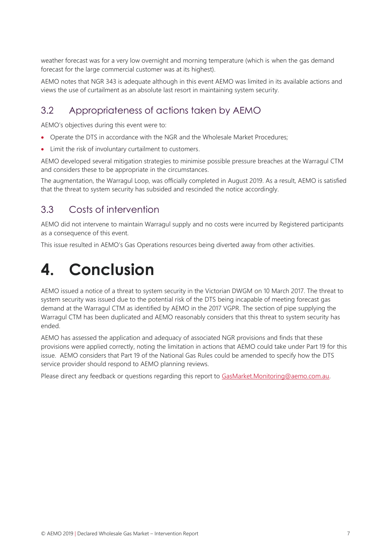weather forecast was for a very low overnight and morning temperature (which is when the gas demand forecast for the large commercial customer was at its highest).

AEMO notes that NGR 343 is adequate although in this event AEMO was limited in its available actions and views the use of curtailment as an absolute last resort in maintaining system security.

#### <span id="page-6-0"></span>3.2 Appropriateness of actions taken by AEMO

AEMO's objectives during this event were to:

- Operate the DTS in accordance with the NGR and the Wholesale Market Procedures;
- Limit the risk of involuntary curtailment to customers.

AEMO developed several mitigation strategies to minimise possible pressure breaches at the Warragul CTM and considers these to be appropriate in the circumstances.

The augmentation, the Warragul Loop, was officially completed in August 2019. As a result, AEMO is satisfied that the threat to system security has subsided and rescinded the notice accordingly.

#### <span id="page-6-1"></span>3.3 Costs of intervention

AEMO did not intervene to maintain Warragul supply and no costs were incurred by Registered participants as a consequence of this event.

This issue resulted in AEMO's Gas Operations resources being diverted away from other activities.

### <span id="page-6-2"></span>**4. Conclusion**

AEMO issued a notice of a threat to system security in the Victorian DWGM on 10 March 2017. The threat to system security was issued due to the potential risk of the DTS being incapable of meeting forecast gas demand at the Warragul CTM as identified by AEMO in the 2017 VGPR. The section of pipe supplying the Warragul CTM has been duplicated and AEMO reasonably considers that this threat to system security has ended.

AEMO has assessed the application and adequacy of associated NGR provisions and finds that these provisions were applied correctly, noting the limitation in actions that AEMO could take under Part 19 for this issue. AEMO considers that Part 19 of the National Gas Rules could be amended to specify how the DTS service provider should respond to AEMO planning reviews.

Please direct any feedback or questions regarding this report to [GasMarket.Monitoring@aemo.com.au.](mailto:GasMarket.Monitoring@aemo.com.au)